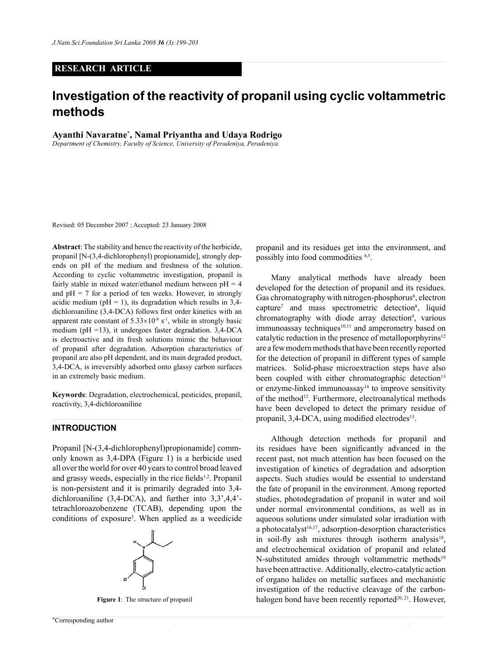## **RESEARCH ARTICLE**

# **Investigation of the reactivity of propanil using cyclic voltammetric methods**

**Ayanthi Navaratne\* , Namal Priyantha and Udaya Rodrigo**

*Department of Chemistry, Faculty of Science, University of Peradeniya, Peradeniya.*

Revised: 05 December 2007 ; Accepted: 23 January 2008

**Abstract**: The stability and hence the reactivity of the herbicide, propanil [N-(3,4-dichlorophenyl) propionamide], strongly depends on pH of the medium and freshness of the solution. According to cyclic voltammetric investigation, propanil is fairly stable in mixed water/ethanol medium between  $pH = 4$ and  $pH = 7$  for a period of ten weeks. However, in strongly acidic medium ( $pH = 1$ ), its degradation which results in 3,4dichloroaniline (3,4-DCA) follows first order kinetics with an apparent rate constant of  $5.33 \times 10^{-8}$  s<sup>-1</sup>, while in strongly basic medium ( $pH = 13$ ), it undergoes faster degradation. 3,4-DCA is electroactive and its fresh solutions mimic the behaviour of propanil after degradation. Adsorption characteristics of propanil are also pH dependent, and its main degraded product, 3,4-DCA, is irreversibly adsorbed onto glassy carbon surfaces in an extremely basic medium.

**Keywords**: Degradation, electrochemical, pesticides, propanil, reactivity, 3,4-dichloroaniline

## **INTRODUCTION**

Propanil [N-(3,4-dichlorophenyl)propionamide] commonly known as 3,4-DPA (Figure 1) is a herbicide used all over the world for over 40 years to control broad leaved and grassy weeds, especially in the rice fields<sup>1,2</sup>. Propanil is non-persistent and it is primarily degraded into 3,4 dichloroaniline (3,4-DCA), and further into 3,3',4,4' tetrachloroazobenzene (TCAB), depending upon the conditions of exposure3 . When applied as a weedicide



propanil and its residues get into the environment, and possibly into food commodities 4,5.

Many analytical methods have already been developed for the detection of propanil and its residues. Gas chromatography with nitrogen-phosphorus<sup>6</sup>, electron capture<sup>7</sup> and mass spectrometric detection<sup>8</sup>, liquid chromatography with diode array detection<sup>9</sup>, various  $immunoassay techniques<sup>10,11</sup> and amperometry based on$ catalytic reduction in the presence of metalloporphyrins<sup>12</sup> are a few modern methods that have been recently reported for the detection of propanil in different types of sample matrices. Solid-phase microextraction steps have also been coupled with either chromatographic detection<sup>13</sup> or enzyme-linked immunoassay $14$  to improve sensitivity of the method<sup>12</sup>. Furthermore, electroanalytical methods have been developed to detect the primary residue of propanil, 3,4-DCA, using modified electrodes<sup>15</sup>.

Although detection methods for propanil and its residues have been significantly advanced in the recent past, not much attention has been focused on the investigation of kinetics of degradation and adsorption aspects. Such studies would be essential to understand the fate of propanil in the environment. Among reported studies, photodegradation of propanil in water and soil under normal environmental conditions, as well as in aqueous solutions under simulated solar irradiation with a photocatalyst<sup>16,17</sup>, adsorption-desorption characteristics in soil-fly ash mixtures through isotherm analysis<sup>18</sup>, and electrochemical oxidation of propanil and related N-substituted amides through voltammetric methods<sup>19</sup> have been attractive. Additionally, electro-catalytic action of organo halides on metallic surfaces and mechanistic investigation of the reductive cleavage of the carbon-**Figure 1**: The structure of propanil **halogen** bond have been recently reported<sup>20, 21</sup>. However,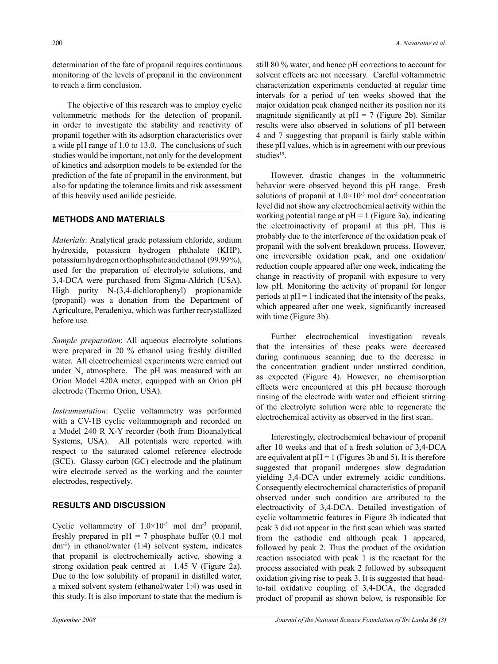determination of the fate of propanil requires continuous monitoring of the levels of propanil in the environment to reach a firm conclusion.

The objective of this research was to employ cyclic voltammetric methods for the detection of propanil, in order to investigate the stability and reactivity of propanil together with its adsorption characteristics over a wide pH range of 1.0 to 13.0. The conclusions of such studies would be important, not only for the development of kinetics and adsorption models to be extended for the prediction of the fate of propanil in the environment, but also for updating the tolerance limits and risk assessment of this heavily used anilide pesticide.

# **METHODS AND MATERIALS**

*Materials*: Analytical grade potassium chloride, sodium hydroxide, potassium hydrogen phthalate (KHP), potassium hydrogen orthophsphate and ethanol (99.99 %), used for the preparation of electrolyte solutions, and 3,4-DCA were purchased from Sigma-Aldrich (USA). High purity N-(3,4-dichlorophenyl) propionamide (propanil) was a donation from the Department of Agriculture, Peradeniya, which was further recrystallized before use.

*Sample preparation*: All aqueous electrolyte solutions were prepared in 20 % ethanol using freshly distilled water. All electrochemical experiments were carried out under  $N_2$  atmosphere. The pH was measured with an Orion Model 420A meter, equipped with an Orion pH electrode (Thermo Orion, USA).

*Instrumentation*: Cyclic voltammetry was performed with a CV-1B cyclic voltammograph and recorded on a Model 240 R X-Y recorder (both from Bioanalytical Systems, USA). All potentials were reported with respect to the saturated calomel reference electrode (SCE). Glassy carbon (GC) electrode and the platinum wire electrode served as the working and the counter electrodes, respectively.

# **RESULTS AND DISCUSSION**

Cyclic voltammetry of  $1.0 \times 10^{-3}$  mol dm<sup>-3</sup> propanil, freshly prepared in  $pH = 7$  phosphate buffer (0.1 mol  $dm^{-3}$ ) in ethanol/water (1:4) solvent system, indicates that propanil is electrochemically active, showing a strong oxidation peak centred at +1.45 V (Figure 2a). Due to the low solubility of propanil in distilled water, a mixed solvent system (ethanol/water 1:4) was used in this study. It is also important to state that the medium is still 80 % water, and hence pH corrections to account for solvent effects are not necessary. Careful voltammetric characterization experiments conducted at regular time intervals for a period of ten weeks showed that the major oxidation peak changed neither its position nor its magnitude significantly at  $pH = 7$  (Figure 2b). Similar results were also observed in solutions of pH between 4 and 7 suggesting that propanil is fairly stable within these pH values, which is in agreement with our previous studies<sup>15</sup>.

However, drastic changes in the voltammetric behavior were observed beyond this pH range. Fresh solutions of propanil at  $1.0 \times 10^{-3}$  mol dm<sup>-3</sup> concentration level did not show any electrochemical activity within the working potential range at  $pH = 1$  (Figure 3a), indicating the electroinactivity of propanil at this pH. This is probably due to the interference of the oxidation peak of propanil with the solvent breakdown process. However, one irreversible oxidation peak, and one oxidation/ reduction couple appeared after one week, indicating the change in reactivity of propanil with exposure to very low pH. Monitoring the activity of propanil for longer periods at  $pH = 1$  indicated that the intensity of the peaks, which appeared after one week, significantly increased with time (Figure 3b).

Further electrochemical investigation reveals that the intensities of these peaks were decreased during continuous scanning due to the decrease in the concentration gradient under unstirred condition, as expected (Figure 4). However, no chemisorption effects were encountered at this pH because thorough rinsing of the electrode with water and efficient stirring of the electrolyte solution were able to regenerate the electrochemical activity as observed in the first scan.

Interestingly, electrochemical behaviour of propanil after 10 weeks and that of a fresh solution of 3,4-DCA are equivalent at  $pH = 1$  (Figures 3b and 5). It is therefore suggested that propanil undergoes slow degradation yielding 3,4-DCA under extremely acidic conditions. Consequently electrochemical characteristics of propanil observed under such condition are attributed to the electroactivity of 3,4-DCA. Detailed investigation of cyclic voltammetric features in Figure 3b indicated that peak 3 did not appear in the first scan which was started from the cathodic end although peak 1 appeared, followed by peak 2. Thus the product of the oxidation reaction associated with peak 1 is the reactant for the process associated with peak 2 followed by subsequent oxidation giving rise to peak 3. It is suggested that headto-tail oxidative coupling of 3,4-DCA, the degraded product of propanil as shown below, is responsible for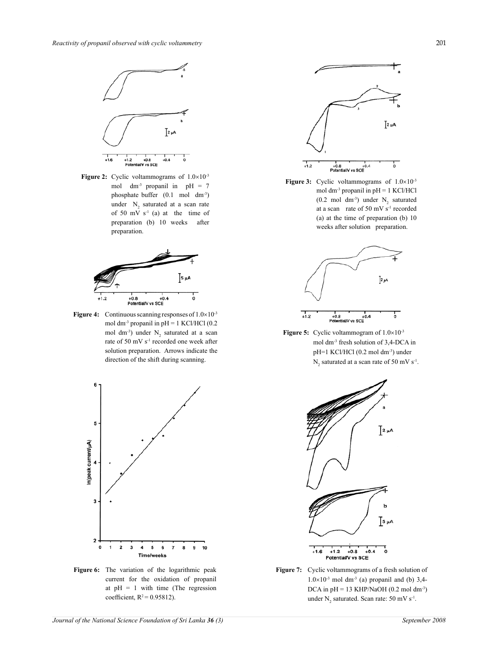

**Figure 2:** Cyclic voltammograms of  $1.0 \times 10^{-3}$ mol dm<sup>-3</sup> propanil in  $pH = 7$ phosphate buffer (0.1 mol dm-3) under  $N_2$  saturated at a scan rate of 50 mV s-1 (a) at the time of preparation (b) 10 weeks after preparation.



**Figure 4:** Continuous scanning responses of  $1.0 \times 10^{-3}$ mol dm<sup>-3</sup> propanil in  $pH = 1$  KCl/HCl (0.2) mol dm<sup>-3</sup>) under  $N_2$  saturated at a scan rate of 50 mV s<sup>-1</sup> recorded one week after solution preparation. Arrows indicate the direction of the shift during scanning.



**Figure 6:** The variation of the logarithmic peak current for the oxidation of propanil at  $pH = 1$  with time (The regression coefficient,  $R^2 = 0.95812$ ).



**Figure 3:** Cyclic voltammograms of  $1.0 \times 10^{-3}$ mol dm-3 propanil in pH = 1 KCl/HCl  $(0.2 \text{ mol dm}^3)$  under  $N_2$  saturated at a scan rate of 50 mV s<sup>-1</sup> recorded (a) at the time of preparation (b) 10 weeks after solution preparation.



**Figure 5:** Cyclic voltammogram of  $1.0 \times 10^{-3}$ mol dm-3 fresh solution of 3,4-DCA in pH=1 KCl/HCl (0.2 mol dm-3) under  $N_2$  saturated at a scan rate of 50 mV s<sup>-1</sup>.



**Figure 7:** Cyclic voltammograms of a fresh solution of  $1.0\times10^{-3}$  mol dm<sup>-3</sup> (a) propanil and (b) 3,4-DCA in  $pH = 13$  KHP/NaOH (0.2 mol dm<sup>-3</sup>) under  $N_2$  saturated. Scan rate: 50 mV s<sup>-1</sup>.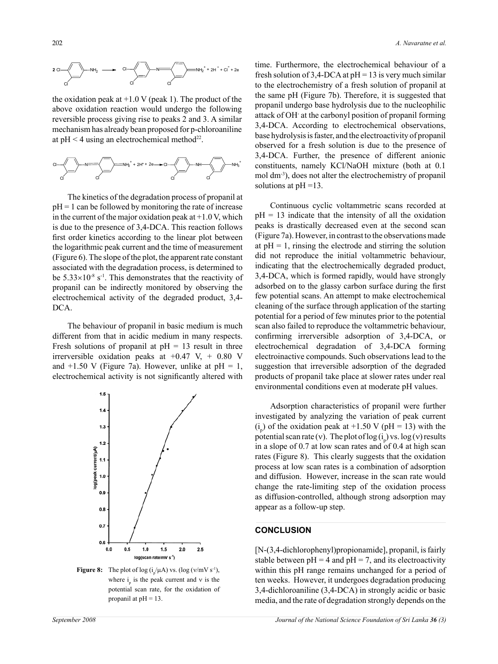

the oxidation peak at  $+1.0 \text{ V}$  (peak 1). The product of the above oxidation reaction would undergo the following reversible process giving rise to peaks 2 and 3. A similar mechanism has already bean proposed for p-chloroaniline at  $pH < 4$  using an electrochemical method<sup>22</sup>.



The kinetics of the degradation process of propanil at  $pH = 1$  can be followed by monitoring the rate of increase in the current of the major oxidation peak at  $+1.0$  V, which is due to the presence of 3,4-DCA. This reaction follows first order kinetics according to the linear plot between the logarithmic peak current and the time of measurement (Figure 6). The slope of the plot, the apparent rate constant associated with the degradation process, is determined to be  $5.33\times10^{-8}$  s<sup>-1</sup>. This demonstrates that the reactivity of propanil can be indirectly monitored by observing the electrochemical activity of the degraded product, 3,4- DCA.

The behaviour of propanil in basic medium is much different from that in acidic medium in many respects. Fresh solutions of propanil at  $pH = 13$  result in three irrerversible oxidation peaks at  $+0.47$  V,  $+0.80$  V and  $+1.50$  V (Figure 7a). However, unlike at pH = 1, electrochemical activity is not significantly altered with



**Figure 8:** The plot of log  $(i_p/\mu A)$  vs. (log (v/mV s<sup>-1</sup>), where  $i<sub>p</sub>$  is the peak current and v is the potential scan rate, for the oxidation of propanil at  $pH = 13$ .

time. Furthermore, the electrochemical behaviour of a fresh solution of 3,4-DCA at  $pH = 13$  is very much similar to the electrochemistry of a fresh solution of propanil at the same pH (Figure 7b). Therefore, it is suggested that propanil undergo base hydrolysis due to the nucleophilic attack of OH- at the carbonyl position of propanil forming 3,4-DCA. According to electrochemical observations, base hydrolysis is faster, and the electroactivity of propanil observed for a fresh solution is due to the presence of 3,4-DCA. Further, the presence of different anionic constituents, namely KCl/NaOH mixture (both at 0.1 mol dm-3), does not alter the electrochemistry of propanil solutions at pH =13.

Continuous cyclic voltammetric scans recorded at  $pH = 13$  indicate that the intensity of all the oxidation peaks is drastically decreased even at the second scan (Figure 7a). However, in contrast to the observations made at  $pH = 1$ , rinsing the electrode and stirring the solution did not reproduce the initial voltammetric behaviour, indicating that the electrochemically degraded product, 3,4-DCA, which is formed rapidly, would have strongly adsorbed on to the glassy carbon surface during the first few potential scans. An attempt to make electrochemical cleaning of the surface through application of the starting potential for a period of few minutes prior to the potential scan also failed to reproduce the voltammetric behaviour, confirming irrerversible adsorption of 3,4-DCA, or electrochemical degradation of 3,4-DCA forming electroinactive compounds. Such observations lead to the suggestion that irreversible adsorption of the degraded products of propanil take place at slower rates under real environmental conditions even at moderate pH values.

Adsorption characteristics of propanil were further investigated by analyzing the variation of peak current  $(i<sub>p</sub>)$  of the oxidation peak at +1.50 V (pH = 13) with the potential scan rate (v). The plot of  $log(i_p)$  vs.  $log(v)$  results in a slope of  $0.7$  at low scan rates and of  $0.4$  at high scan rates (Figure 8). This clearly suggests that the oxidation process at low scan rates is a combination of adsorption and diffusion. However, increase in the scan rate would change the rate-limiting step of the oxidation process as diffusion-controlled, although strong adsorption may appear as a follow-up step.

# **CONCLUSION**

[N-(3,4-dichlorophenyl)propionamide], propanil, is fairly stable between  $pH = 4$  and  $pH = 7$ , and its electroactivity within this pH range remains unchanged for a period of ten weeks. However, it undergoes degradation producing 3,4-dichloroaniline (3,4-DCA) in strongly acidic or basic media, and the rate of degradation strongly depends on the